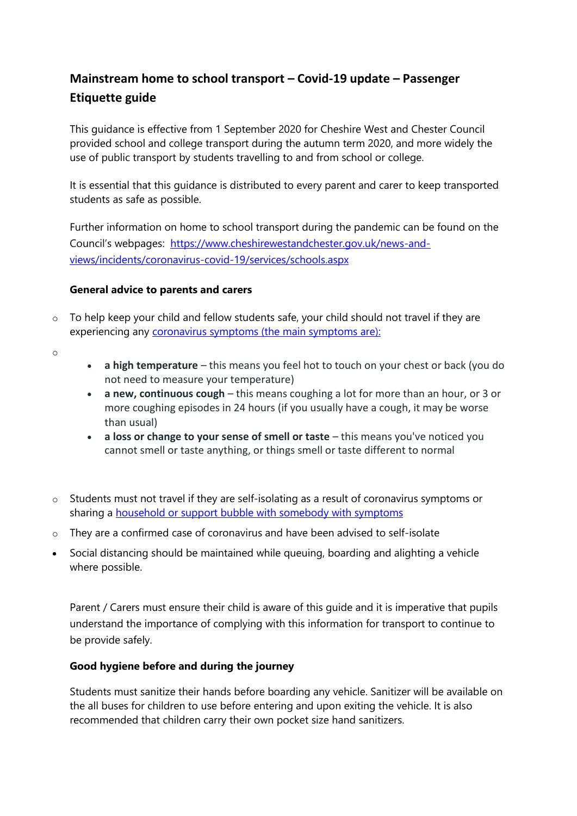# **Mainstream home to school transport – Covid-19 update – Passenger Etiquette guide**

This guidance is effective from 1 September 2020 for Cheshire West and Chester Council provided school and college transport during the autumn term 2020, and more widely the use of public transport by students travelling to and from school or college.

It is essential that this guidance is distributed to every parent and carer to keep transported students as safe as possible.

Further information on home to school transport during the pandemic can be found on the Council's webpages: [https://www.cheshirewestandchester.gov.uk/news-and](https://www.cheshirewestandchester.gov.uk/news-and-views/incidents/coronavirus-covid-19/services/schools.aspx)[views/incidents/coronavirus-covid-19/services/schools.aspx](https://www.cheshirewestandchester.gov.uk/news-and-views/incidents/coronavirus-covid-19/services/schools.aspx)

#### **General advice to parents and carers**

 $\circ$  To help keep your child and fellow students safe, your child should not travel if they are experiencing any [coronavirus symptoms](https://www.nhs.uk/conditions/coronavirus-covid-19/symptoms/) (the main symptoms are):

o

- **a high temperature** this means you feel hot to touch on your chest or back (you do not need to measure your temperature)
- **a new, continuous cough** this means coughing a lot for more than an hour, or 3 or more coughing episodes in 24 hours (if you usually have a cough, it may be worse than usual)
- **a loss or change to your sense of smell or taste** this means you've noticed you cannot smell or taste anything, or things smell or taste different to normal
- o Students must not travel if they are self-isolating as a result of coronavirus symptoms or sharing a [household or support bubble with somebody with symptoms](https://www.gov.uk/government/publications/covid-19-stay-at-home-guidance)
- $\circ$  They are a confirmed case of coronavirus and have been advised to self-isolate
- Social distancing should be maintained while queuing, boarding and alighting a vehicle where possible.

Parent / Carers must ensure their child is aware of this guide and it is imperative that pupils understand the importance of complying with this information for transport to continue to be provide safely.

## **Good hygiene before and during the journey**

Students must sanitize their hands before boarding any vehicle. Sanitizer will be available on the all buses for children to use before entering and upon exiting the vehicle. It is also recommended that children carry their own pocket size hand sanitizers.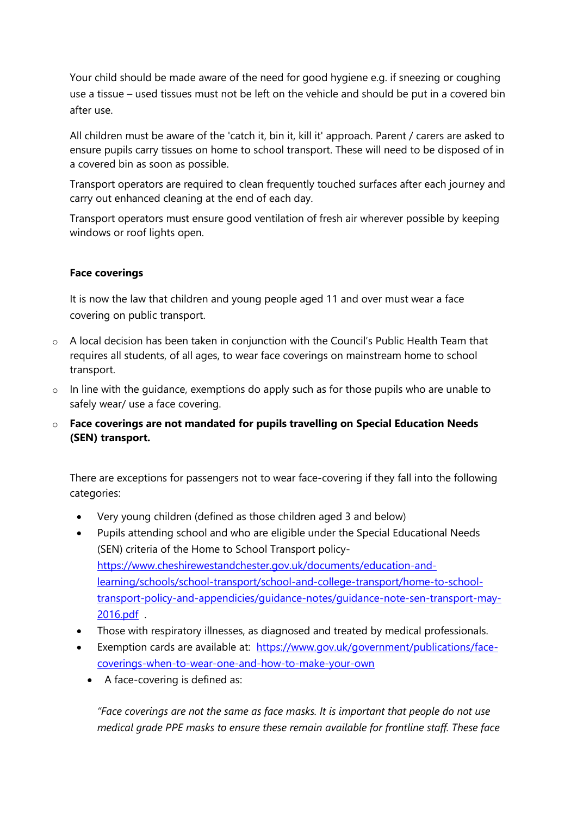Your child should be made aware of the need for good hygiene e.g. if sneezing or coughing use a tissue – used tissues must not be left on the vehicle and should be put in a covered bin after use.

All children must be aware of the 'catch it, bin it, kill it' approach. Parent / carers are asked to ensure pupils carry tissues on home to school transport. These will need to be disposed of in a covered bin as soon as possible.

Transport operators are required to clean frequently touched surfaces after each journey and carry out enhanced cleaning at the end of each day.

Transport operators must ensure good ventilation of fresh air wherever possible by keeping windows or roof lights open.

## **Face coverings**

It is now the law that children and young people aged 11 and over must wear a face covering on public transport.

- o A local decision has been taken in conjunction with the Council's Public Health Team that requires all students, of all ages, to wear face coverings on mainstream home to school transport.
- o In line with the guidance, exemptions do apply such as for those pupils who are unable to safely wear/ use a face covering.
- o **Face coverings are not mandated for pupils travelling on Special Education Needs (SEN) transport.**

There are exceptions for passengers not to wear face-covering if they fall into the following categories:

- Very young children (defined as those children aged 3 and below)
- Pupils attending school and who are eligible under the Special Educational Needs (SEN) criteria of the Home to School Transport policy[https://www.cheshirewestandchester.gov.uk/documents/education-and](https://www.cheshirewestandchester.gov.uk/documents/education-and-learning/schools/school-transport/school-and-college-transport/home-to-school-transport-policy-and-appendicies/guidance-notes/guidance-note-sen-transport-may-2016.pdf)[learning/schools/school-transport/school-and-college-transport/home-to-school](https://www.cheshirewestandchester.gov.uk/documents/education-and-learning/schools/school-transport/school-and-college-transport/home-to-school-transport-policy-and-appendicies/guidance-notes/guidance-note-sen-transport-may-2016.pdf)[transport-policy-and-appendicies/guidance-notes/guidance-note-sen-transport-may-](https://www.cheshirewestandchester.gov.uk/documents/education-and-learning/schools/school-transport/school-and-college-transport/home-to-school-transport-policy-and-appendicies/guidance-notes/guidance-note-sen-transport-may-2016.pdf)[2016.pdf](https://www.cheshirewestandchester.gov.uk/documents/education-and-learning/schools/school-transport/school-and-college-transport/home-to-school-transport-policy-and-appendicies/guidance-notes/guidance-note-sen-transport-may-2016.pdf) .
- Those with respiratory illnesses, as diagnosed and treated by medical professionals.
- Exemption cards are available at: [https://www.gov.uk/government/publications/face](https://www.gov.uk/government/publications/face-coverings-when-to-wear-one-and-how-to-make-your-own)[coverings-when-to-wear-one-and-how-to-make-your-own](https://www.gov.uk/government/publications/face-coverings-when-to-wear-one-and-how-to-make-your-own) 
	- A face-covering is defined as:

 *"Face coverings are not the same as face masks. It is important that people do not use medical grade PPE masks to ensure these remain available for frontline staff. These face*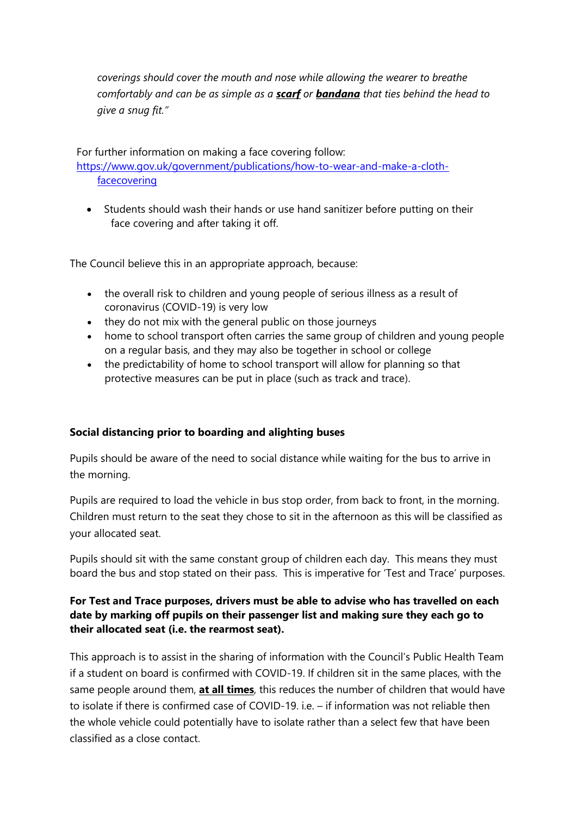*coverings should cover the mouth and nose while allowing the wearer to breathe comfortably and can be as simple as a scarf or bandana that ties behind the head to give a snug fit."*

For further information on making a face covering follow: [https://www.gov.uk/government/publications/how-to-wear-and-make-a-cloth-](https://www.gov.uk/government/publications/how-to-wear-and-make-a-cloth-facecovering)

[facecovering](https://www.gov.uk/government/publications/how-to-wear-and-make-a-cloth-facecovering) 

 Students should wash their hands or use hand sanitizer before putting on their face covering and after taking it off.

The Council believe this in an appropriate approach, because:

- the overall risk to children and young people of serious illness as a result of coronavirus (COVID-19) is very low
- they do not mix with the general public on those journeys
- home to school transport often carries the same group of children and young people on a regular basis, and they may also be together in school or college
- the predictability of home to school transport will allow for planning so that protective measures can be put in place (such as track and trace).

## **Social distancing prior to boarding and alighting buses**

Pupils should be aware of the need to social distance while waiting for the bus to arrive in the morning.

Pupils are required to load the vehicle in bus stop order, from back to front, in the morning. Children must return to the seat they chose to sit in the afternoon as this will be classified as your allocated seat.

Pupils should sit with the same constant group of children each day. This means they must board the bus and stop stated on their pass. This is imperative for 'Test and Trace' purposes.

## **For Test and Trace purposes, drivers must be able to advise who has travelled on each date by marking off pupils on their passenger list and making sure they each go to their allocated seat (i.e. the rearmost seat).**

This approach is to assist in the sharing of information with the Council's Public Health Team if a student on board is confirmed with COVID-19. If children sit in the same places, with the same people around them, **at all times**, this reduces the number of children that would have to isolate if there is confirmed case of COVID-19. i.e. – if information was not reliable then the whole vehicle could potentially have to isolate rather than a select few that have been classified as a close contact.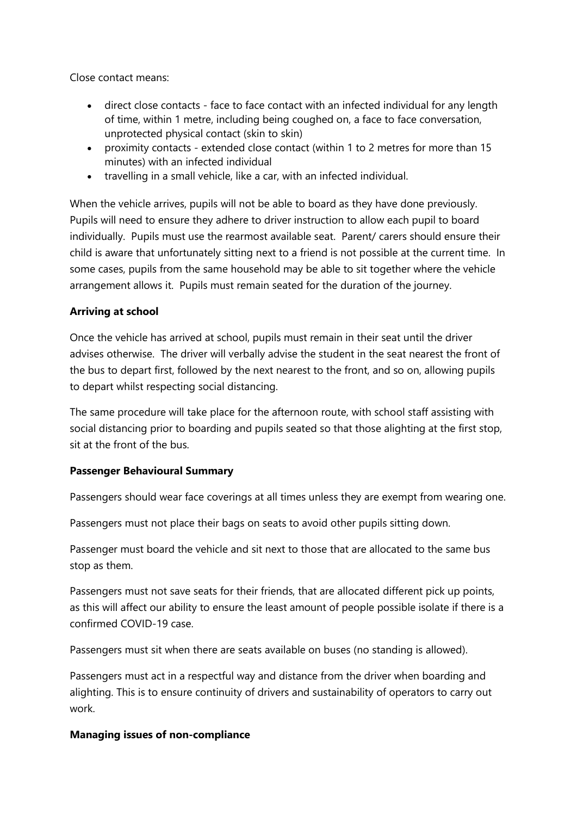Close contact means:

- direct close contacts face to face contact with an infected individual for any length of time, within 1 metre, including being coughed on, a face to face conversation, unprotected physical contact (skin to skin)
- proximity contacts extended close contact (within 1 to 2 metres for more than 15 minutes) with an infected individual
- travelling in a small vehicle, like a car, with an infected individual.

When the vehicle arrives, pupils will not be able to board as they have done previously. Pupils will need to ensure they adhere to driver instruction to allow each pupil to board individually. Pupils must use the rearmost available seat. Parent/ carers should ensure their child is aware that unfortunately sitting next to a friend is not possible at the current time. In some cases, pupils from the same household may be able to sit together where the vehicle arrangement allows it. Pupils must remain seated for the duration of the journey.

## **Arriving at school**

Once the vehicle has arrived at school, pupils must remain in their seat until the driver advises otherwise. The driver will verbally advise the student in the seat nearest the front of the bus to depart first, followed by the next nearest to the front, and so on, allowing pupils to depart whilst respecting social distancing.

The same procedure will take place for the afternoon route, with school staff assisting with social distancing prior to boarding and pupils seated so that those alighting at the first stop, sit at the front of the bus.

## **Passenger Behavioural Summary**

Passengers should wear face coverings at all times unless they are exempt from wearing one.

Passengers must not place their bags on seats to avoid other pupils sitting down.

Passenger must board the vehicle and sit next to those that are allocated to the same bus stop as them.

Passengers must not save seats for their friends, that are allocated different pick up points, as this will affect our ability to ensure the least amount of people possible isolate if there is a confirmed COVID-19 case.

Passengers must sit when there are seats available on buses (no standing is allowed).

Passengers must act in a respectful way and distance from the driver when boarding and alighting. This is to ensure continuity of drivers and sustainability of operators to carry out work.

## **Managing issues of non-compliance**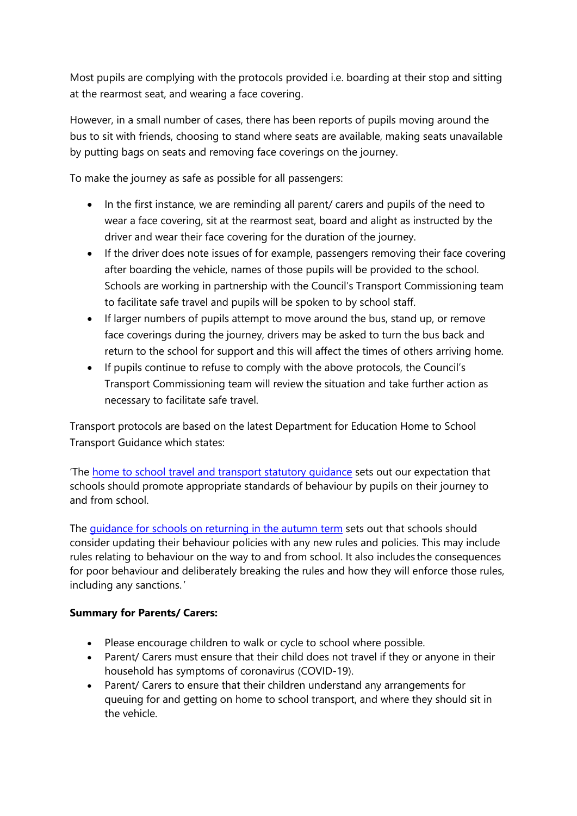Most pupils are complying with the protocols provided i.e. boarding at their stop and sitting at the rearmost seat, and wearing a face covering.

However, in a small number of cases, there has been reports of pupils moving around the bus to sit with friends, choosing to stand where seats are available, making seats unavailable by putting bags on seats and removing face coverings on the journey.

To make the journey as safe as possible for all passengers:

- In the first instance, we are reminding all parent/ carers and pupils of the need to wear a face covering, sit at the rearmost seat, board and alight as instructed by the driver and wear their face covering for the duration of the journey.
- If the driver does note issues of for example, passengers removing their face covering after boarding the vehicle, names of those pupils will be provided to the school. Schools are working in partnership with the Council's Transport Commissioning team to facilitate safe travel and pupils will be spoken to by school staff.
- If larger numbers of pupils attempt to move around the bus, stand up, or remove face coverings during the journey, drivers may be asked to turn the bus back and return to the school for support and this will affect the times of others arriving home.
- If pupils continue to refuse to comply with the above protocols, the Council's Transport Commissioning team will review the situation and take further action as necessary to facilitate safe travel.

Transport protocols are based on the latest Department for Education Home to School Transport Guidance which states:

'The [home to school travel and transport statutory guidance](https://www.gov.uk/government/publications/home-to-school-travel-and-transport-guidance) sets out our expectation that schools should promote appropriate standards of behaviour by pupils on their journey to and from school.

The [guidance for schools on returning in the autumn term](https://www.gov.uk/government/publications/actions-for-schools-during-the-coronavirus-outbreak/guidance-for-full-opening-schools#section-3-curriculum-behaviour-and-pastoral-support) sets out that schools should consider updating their behaviour policies with any new rules and policies. This may include rules relating to behaviour on the way to and from school. It also includes the consequences for poor behaviour and deliberately breaking the rules and how they will enforce those rules, including any sanctions. '

## **Summary for Parents/ Carers:**

- Please encourage children to walk or cycle to school where possible.
- Parent/ Carers must ensure that their child does not travel if they or anyone in their household has symptoms of coronavirus (COVID-19).
- Parent/ Carers to ensure that their children understand any arrangements for queuing for and getting on home to school transport, and where they should sit in the vehicle.